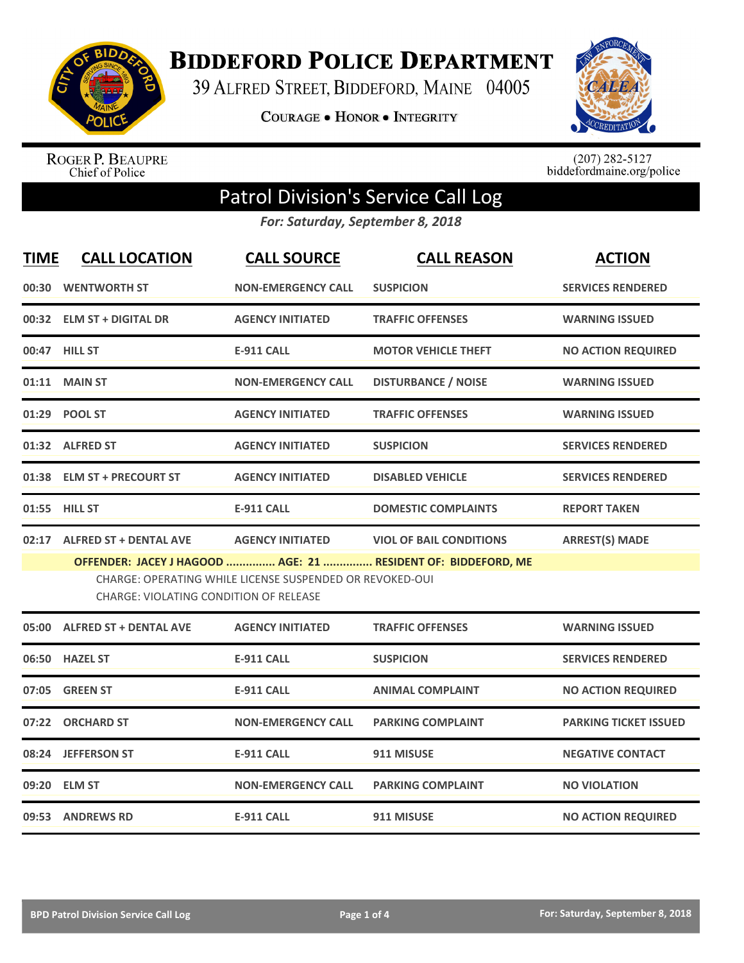

**BIDDEFORD POLICE DEPARTMENT** 

39 ALFRED STREET, BIDDEFORD, MAINE 04005

**COURAGE . HONOR . INTEGRITY** 



ROGER P. BEAUPRE<br>Chief of Police

 $(207)$  282-5127<br>biddefordmaine.org/police

## Patrol Division's Service Call Log

*For: Saturday, September 8, 2018*

| <b>TIME</b> | <b>CALL LOCATION</b>                          | <b>CALL SOURCE</b>                                       | <b>CALL REASON</b>                                            | <b>ACTION</b>                |
|-------------|-----------------------------------------------|----------------------------------------------------------|---------------------------------------------------------------|------------------------------|
|             | 00:30 WENTWORTH ST                            | <b>NON-EMERGENCY CALL</b>                                | <b>SUSPICION</b>                                              | <b>SERVICES RENDERED</b>     |
|             | 00:32 ELM ST + DIGITAL DR                     | <b>AGENCY INITIATED</b>                                  | <b>TRAFFIC OFFENSES</b>                                       | <b>WARNING ISSUED</b>        |
|             | 00:47 HILL ST                                 | <b>E-911 CALL</b>                                        | <b>MOTOR VEHICLE THEFT</b>                                    | <b>NO ACTION REQUIRED</b>    |
|             | 01:11 MAIN ST                                 | <b>NON-EMERGENCY CALL</b>                                | <b>DISTURBANCE / NOISE</b>                                    | <b>WARNING ISSUED</b>        |
|             | 01:29 POOL ST                                 | <b>AGENCY INITIATED</b>                                  | <b>TRAFFIC OFFENSES</b>                                       | <b>WARNING ISSUED</b>        |
|             | 01:32 ALFRED ST                               | <b>AGENCY INITIATED</b>                                  | <b>SUSPICION</b>                                              | <b>SERVICES RENDERED</b>     |
|             | 01:38 ELM ST + PRECOURT ST                    | <b>AGENCY INITIATED</b>                                  | <b>DISABLED VEHICLE</b>                                       | <b>SERVICES RENDERED</b>     |
|             | 01:55 HILL ST                                 | <b>E-911 CALL</b>                                        | <b>DOMESTIC COMPLAINTS</b>                                    | <b>REPORT TAKEN</b>          |
|             | 02:17 ALFRED ST + DENTAL AVE                  | <b>AGENCY INITIATED</b>                                  | <b>VIOL OF BAIL CONDITIONS</b>                                | <b>ARREST(S) MADE</b>        |
|             | <b>CHARGE: VIOLATING CONDITION OF RELEASE</b> | CHARGE: OPERATING WHILE LICENSE SUSPENDED OR REVOKED-OUI | OFFENDER: JACEY J HAGOOD  AGE: 21  RESIDENT OF: BIDDEFORD, ME |                              |
|             | 05:00 ALFRED ST + DENTAL AVE                  | <b>AGENCY INITIATED</b>                                  | <b>TRAFFIC OFFENSES</b>                                       | <b>WARNING ISSUED</b>        |
|             | 06:50 HAZEL ST                                | <b>E-911 CALL</b>                                        | <b>SUSPICION</b>                                              | <b>SERVICES RENDERED</b>     |
|             | 07:05 GREEN ST                                | <b>E-911 CALL</b>                                        | <b>ANIMAL COMPLAINT</b>                                       | <b>NO ACTION REQUIRED</b>    |
|             | 07:22 ORCHARD ST                              | <b>NON-EMERGENCY CALL</b>                                | <b>PARKING COMPLAINT</b>                                      | <b>PARKING TICKET ISSUED</b> |
|             | 08:24 JEFFERSON ST                            | <b>E-911 CALL</b>                                        | 911 MISUSE                                                    | <b>NEGATIVE CONTACT</b>      |
|             | 09:20 ELM ST                                  | <b>NON-EMERGENCY CALL</b>                                | <b>PARKING COMPLAINT</b>                                      | <b>NO VIOLATION</b>          |
|             | 09:53 ANDREWS RD                              | <b>E-911 CALL</b>                                        | 911 MISUSE                                                    | <b>NO ACTION REQUIRED</b>    |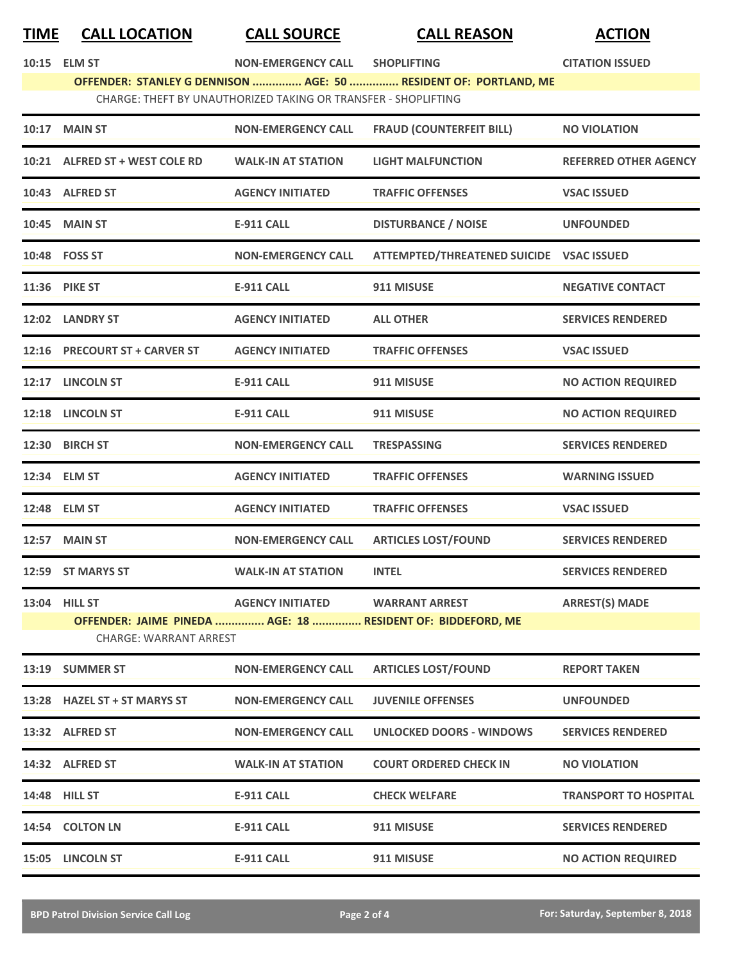## **TIME CALL LOCATION CALL SOURCE CALL REASON ACTION**

| 10:15 ELM ST | NON-EMERGENCY CALL SHOPLIFTING |                                                                  | <b>CITATION ISSUED</b> |
|--------------|--------------------------------|------------------------------------------------------------------|------------------------|
|              |                                | OFFENDER: STANLEY G DENNISON  AGE: 50  RESIDENT OF: PORTLAND, ME |                        |

CHARGE: THEFT BY UNAUTHORIZED TAKING OR TRANSFER ‐ SHOPLIFTING

| <b>10:17 MAIN ST</b>           | <b>NON-EMERGENCY CALL</b>       | <b>FRAUD (COUNTERFEIT BILL)</b>                             | <b>NO VIOLATION</b>          |  |  |
|--------------------------------|---------------------------------|-------------------------------------------------------------|------------------------------|--|--|
| 10:21 ALFRED ST + WEST COLE RD | <b>WALK-IN AT STATION</b>       | <b>LIGHT MALFUNCTION</b>                                    | <b>REFERRED OTHER AGENCY</b> |  |  |
| 10:43 ALFRED ST                | <b>AGENCY INITIATED</b>         | <b>TRAFFIC OFFENSES</b>                                     | <b>VSAC ISSUED</b>           |  |  |
| <b>10:45 MAIN ST</b>           | <b>E-911 CALL</b>               | <b>DISTURBANCE / NOISE</b>                                  | <b>UNFOUNDED</b>             |  |  |
| 10:48 FOSS ST                  | <b>NON-EMERGENCY CALL</b>       | ATTEMPTED/THREATENED SUICIDE VSAC ISSUED                    |                              |  |  |
| 11:36 PIKE ST                  | <b>E-911 CALL</b>               | 911 MISUSE                                                  | <b>NEGATIVE CONTACT</b>      |  |  |
| 12:02 LANDRY ST                | <b>AGENCY INITIATED</b>         | <b>ALL OTHER</b>                                            | <b>SERVICES RENDERED</b>     |  |  |
| 12:16 PRECOURT ST + CARVER ST  | <b>AGENCY INITIATED</b>         | <b>TRAFFIC OFFENSES</b>                                     | <b>VSAC ISSUED</b>           |  |  |
| 12:17 LINCOLN ST               | E-911 CALL                      | 911 MISUSE                                                  | <b>NO ACTION REQUIRED</b>    |  |  |
| 12:18 LINCOLN ST               | <b>E-911 CALL</b>               | 911 MISUSE                                                  | <b>NO ACTION REQUIRED</b>    |  |  |
| 12:30 BIRCH ST                 | <b>NON-EMERGENCY CALL</b>       | <b>TRESPASSING</b>                                          | <b>SERVICES RENDERED</b>     |  |  |
| 12:34 ELM ST                   | <b>AGENCY INITIATED</b>         | <b>TRAFFIC OFFENSES</b>                                     | <b>WARNING ISSUED</b>        |  |  |
| 12:48 ELM ST                   | <b>AGENCY INITIATED</b>         | <b>TRAFFIC OFFENSES</b>                                     | <b>VSAC ISSUED</b>           |  |  |
| <b>12:57 MAIN ST</b>           | <b>NON-EMERGENCY CALL</b>       | <b>ARTICLES LOST/FOUND</b>                                  | <b>SERVICES RENDERED</b>     |  |  |
| 12:59 ST MARYS ST              | <b>WALK-IN AT STATION</b>       | <b>INTEL</b>                                                | <b>SERVICES RENDERED</b>     |  |  |
| 13:04 HILL ST                  | AGENCY INITIATED WARRANT ARREST |                                                             | <b>ARREST(S) MADE</b>        |  |  |
|                                |                                 | OFFENDER: JAIME PINEDA  AGE: 18  RESIDENT OF: BIDDEFORD, ME |                              |  |  |
| CUADCE · WADDANT ADDECT        |                                 |                                                             |                              |  |  |

CHARGE: WARRANT ARREST

| 13:19 | <b>SUMMER ST</b>             | <b>NON-EMERGENCY CALL</b> | <b>ARTICLES LOST/FOUND</b>    | <b>REPORT TAKEN</b>          |
|-------|------------------------------|---------------------------|-------------------------------|------------------------------|
|       | 13:28 HAZEL ST + ST MARYS ST | <b>NON-EMERGENCY CALL</b> | <b>JUVENILE OFFENSES</b>      | <b>UNFOUNDED</b>             |
| 13:32 | <b>ALFRED ST</b>             | <b>NON-EMERGENCY CALL</b> | UNLOCKED DOORS - WINDOWS      | <b>SERVICES RENDERED</b>     |
| 14:32 | <b>ALFRED ST</b>             | <b>WALK-IN AT STATION</b> | <b>COURT ORDERED CHECK IN</b> | <b>NO VIOLATION</b>          |
|       | 14:48 HILL ST                | <b>E-911 CALL</b>         | <b>CHECK WELFARE</b>          | <b>TRANSPORT TO HOSPITAL</b> |
| 14:54 | <b>COLTON LN</b>             | <b>E-911 CALL</b>         | 911 MISUSE                    | <b>SERVICES RENDERED</b>     |
| 15:05 | <b>LINCOLN ST</b>            | <b>E-911 CALL</b>         | 911 MISUSE                    | <b>NO ACTION REQUIRED</b>    |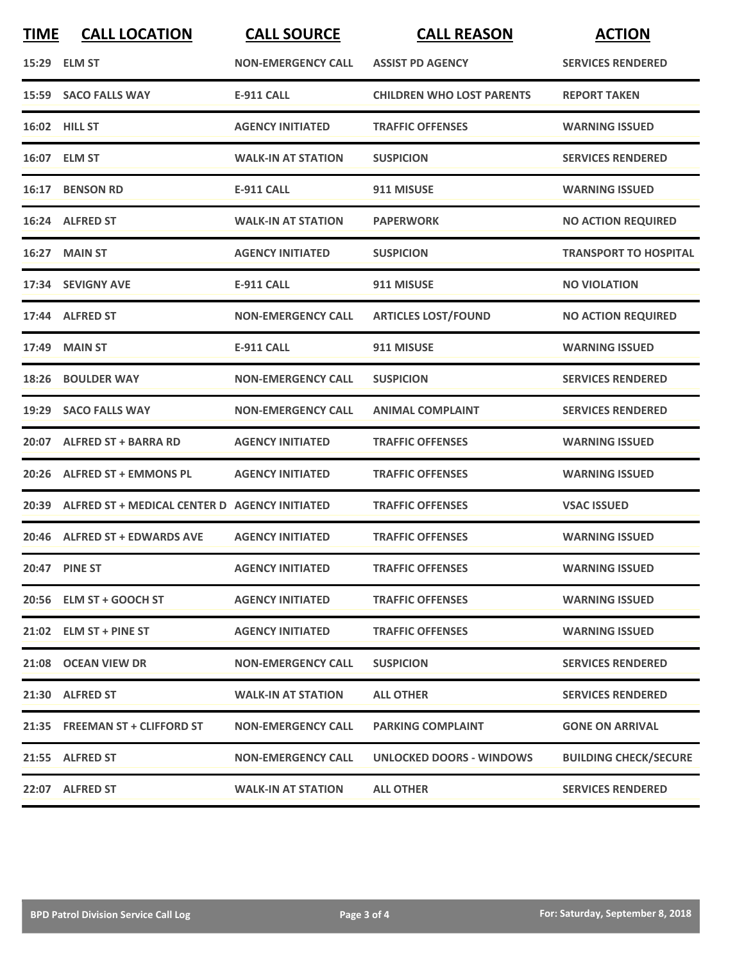| <b>TIME</b> | <b>CALL LOCATION</b>                          | <b>CALL SOURCE</b>        | <b>CALL REASON</b>               | <b>ACTION</b>                |
|-------------|-----------------------------------------------|---------------------------|----------------------------------|------------------------------|
|             | 15:29 ELM ST                                  | <b>NON-EMERGENCY CALL</b> | <b>ASSIST PD AGENCY</b>          | <b>SERVICES RENDERED</b>     |
|             | 15:59 SACO FALLS WAY                          | <b>E-911 CALL</b>         | <b>CHILDREN WHO LOST PARENTS</b> | <b>REPORT TAKEN</b>          |
|             | <b>16:02 HILL ST</b>                          | <b>AGENCY INITIATED</b>   | <b>TRAFFIC OFFENSES</b>          | <b>WARNING ISSUED</b>        |
|             | 16:07 ELM ST                                  | <b>WALK-IN AT STATION</b> | <b>SUSPICION</b>                 | <b>SERVICES RENDERED</b>     |
|             | 16:17 BENSON RD                               | <b>E-911 CALL</b>         | 911 MISUSE                       | <b>WARNING ISSUED</b>        |
|             | 16:24 ALFRED ST                               | <b>WALK-IN AT STATION</b> | <b>PAPERWORK</b>                 | <b>NO ACTION REQUIRED</b>    |
| 16:27       | <b>MAIN ST</b>                                | <b>AGENCY INITIATED</b>   | <b>SUSPICION</b>                 | <b>TRANSPORT TO HOSPITAL</b> |
|             | 17:34 SEVIGNY AVE                             | <b>E-911 CALL</b>         | 911 MISUSE                       | <b>NO VIOLATION</b>          |
|             | 17:44 ALFRED ST                               | <b>NON-EMERGENCY CALL</b> | <b>ARTICLES LOST/FOUND</b>       | <b>NO ACTION REQUIRED</b>    |
|             | 17:49 MAIN ST                                 | <b>E-911 CALL</b>         | 911 MISUSE                       | <b>WARNING ISSUED</b>        |
| 18:26       | <b>BOULDER WAY</b>                            | <b>NON-EMERGENCY CALL</b> | <b>SUSPICION</b>                 | <b>SERVICES RENDERED</b>     |
| 19:29       | <b>SACO FALLS WAY</b>                         | <b>NON-EMERGENCY CALL</b> | <b>ANIMAL COMPLAINT</b>          | <b>SERVICES RENDERED</b>     |
|             | 20:07 ALFRED ST + BARRA RD                    | <b>AGENCY INITIATED</b>   | <b>TRAFFIC OFFENSES</b>          | <b>WARNING ISSUED</b>        |
| 20:26       | <b>ALFRED ST + EMMONS PL</b>                  | <b>AGENCY INITIATED</b>   | <b>TRAFFIC OFFENSES</b>          | <b>WARNING ISSUED</b>        |
| 20:39       | ALFRED ST + MEDICAL CENTER D AGENCY INITIATED |                           | <b>TRAFFIC OFFENSES</b>          | <b>VSAC ISSUED</b>           |
|             | 20:46 ALFRED ST + EDWARDS AVE                 | <b>AGENCY INITIATED</b>   | <b>TRAFFIC OFFENSES</b>          | <b>WARNING ISSUED</b>        |
|             | 20:47 PINE ST                                 | <b>AGENCY INITIATED</b>   | <b>TRAFFIC OFFENSES</b>          | <b>WARNING ISSUED</b>        |
|             | 20:56 ELM ST + GOOCH ST                       | <b>AGENCY INITIATED</b>   | <b>TRAFFIC OFFENSES</b>          | <b>WARNING ISSUED</b>        |
|             | 21:02 ELM ST + PINE ST                        | <b>AGENCY INITIATED</b>   | <b>TRAFFIC OFFENSES</b>          | <b>WARNING ISSUED</b>        |
|             | 21:08 OCEAN VIEW DR                           | <b>NON-EMERGENCY CALL</b> | <b>SUSPICION</b>                 | <b>SERVICES RENDERED</b>     |
|             | 21:30 ALFRED ST                               | <b>WALK-IN AT STATION</b> | <b>ALL OTHER</b>                 | <b>SERVICES RENDERED</b>     |
|             | 21:35 FREEMAN ST + CLIFFORD ST                | <b>NON-EMERGENCY CALL</b> | <b>PARKING COMPLAINT</b>         | <b>GONE ON ARRIVAL</b>       |
|             | 21:55 ALFRED ST                               | <b>NON-EMERGENCY CALL</b> | <b>UNLOCKED DOORS - WINDOWS</b>  | <b>BUILDING CHECK/SECURE</b> |
|             | 22:07 ALFRED ST                               | <b>WALK-IN AT STATION</b> | <b>ALL OTHER</b>                 | <b>SERVICES RENDERED</b>     |